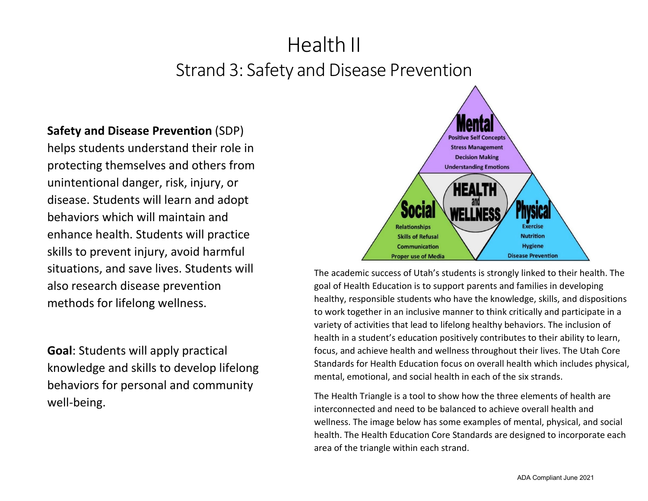# **Safety and Disease Prevention** (SDP)

helps students understand their role in protecting themselves and others from unintentional danger, risk, injury, or disease. Students will learn and adopt behaviors which will maintain and enhance health. Students will practice skills to prevent injury, avoid harmful situations, and save lives. Students will also research disease prevention methods for lifelong wellness.

**Goal**: Students will apply practical knowledge and skills to develop lifelong behaviors for personal and community well-being.



The academic success of Utah's students is strongly linked to their health. The goal of Health Education is to support parents and families in developing healthy, responsible students who have the knowledge, skills, and dispositions to work together in an inclusive manner to think critically and participate in a variety of activities that lead to lifelong healthy behaviors. The inclusion of health in a student's education positively contributes to their ability to learn, focus, and achieve health and wellness throughout their lives. The Utah Core Standards for Health Education focus on overall health which includes physical, mental, emotional, and social health in each of the six strands.

The Health Triangle is a tool to show how the three elements of health are interconnected and need to be balanced to achieve overall health and wellness. The image below has some examples of mental, physical, and social health. The Health Education Core Standards are designed to incorporate each area of the triangle within each strand.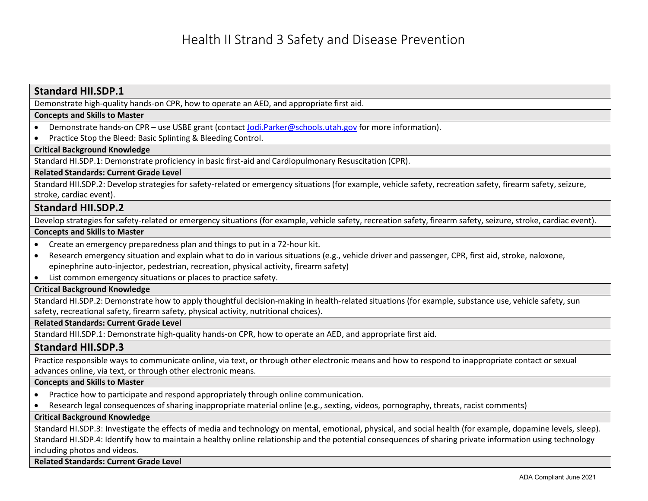# Demonstrate high-quality hands-on CPR, how to operate an AED, and appropriate first aid. **Concepts and Skills to Master** • Demonstrate hands-on CPR – use USBE grant (contact [Jodi.Parker@schools.utah.gov](mailto:Jodi.Parker@schools.utah.gov) for more information). • Practice Stop the Bleed: Basic Splinting & Bleeding Control. **Critical Background Knowledge** Standard HI.SDP.1: Demonstrate proficiency in basic first-aid and Cardiopulmonary Resuscitation (CPR). **Related Standards: Current Grade Level** Standard HII.SDP.2: Develop strategies for safety-related or emergency situations (for example, vehicle safety, recreation safety, firearm safety, seizure, stroke, cardiac event). **Standard HII.SDP.2** Develop strategies for safety-related or emergency situations (for example, vehicle safety, recreation safety, firearm safety, seizure, stroke, cardiac event). **Concepts and Skills to Master** • Create an emergency preparedness plan and things to put in a 72-hour kit. • Research emergency situation and explain what to do in various situations (e.g., vehicle driver and passenger, CPR, first aid, stroke, naloxone, epinephrine auto-injector, pedestrian, recreation, physical activity, firearm safety) • List common emergency situations or places to practice safety. **Critical Background Knowledge** Standard HI.SDP.2: Demonstrate how to apply thoughtful decision-making in health-related situations (for example, substance use, vehicle safety, sun safety, recreational safety, firearm safety, physical activity, nutritional choices). **Related Standards: Current Grade Level** Standard HII.SDP.1: Demonstrate high-quality hands-on CPR, how to operate an AED, and appropriate first aid. **Standard HII.SDP.3** Practice responsible ways to communicate online, via text, or through other electronic means and how to respond to inappropriate contact or sexual advances online, via text, or through other electronic means. **Concepts and Skills to Master** • Practice how to participate and respond appropriately through online communication. • Research legal consequences of sharing inappropriate material online (e.g., sexting, videos, pornography, threats, racist comments) **Critical Background Knowledge** Standard HI.SDP.3: Investigate the effects of media and technology on mental, emotional, physical, and social health (for example, dopamine levels, sleep). Standard HI.SDP.4: Identify how to maintain a healthy online relationship and the potential consequences of sharing private information using technology including photos and videos.

**Related Standards: Current Grade Level**

**Standard HII.SDP.1**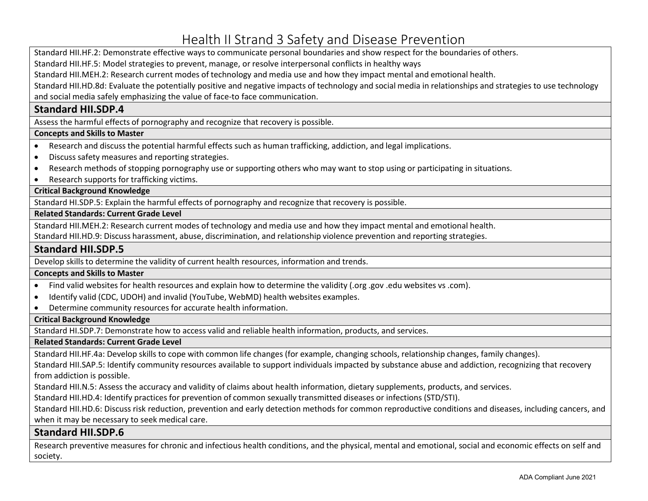Standard HII.HF.2: Demonstrate effective ways to communicate personal boundaries and show respect for the boundaries of others.

Standard HII.HF.5: Model strategies to prevent, manage, or resolve interpersonal conflicts in healthy ways

Standard HII.MEH.2: Research current modes of technology and media use and how they impact mental and emotional health.

Standard HII.HD.8d: Evaluate the potentially positive and negative impacts of technology and social media in relationships and strategies to use technology and social media safely emphasizing the value of face-to face communication.

# **Standard HII.SDP.4**

Assess the harmful effects of pornography and recognize that recovery is possible.

# **Concepts and Skills to Master**

- Research and discuss the potential harmful effects such as human trafficking, addiction, and legal implications.
- Discuss safety measures and reporting strategies.
- Research methods of stopping pornography use or supporting others who may want to stop using or participating in situations.
- Research supports for trafficking victims.

# **Critical Background Knowledge**

Standard HI.SDP.5: Explain the harmful effects of pornography and recognize that recovery is possible.

#### **Related Standards: Current Grade Level**

Standard HII.MEH.2: Research current modes of technology and media use and how they impact mental and emotional health.

Standard HII.HD.9: Discuss harassment, abuse, discrimination, and relationship violence prevention and reporting strategies.

# **Standard HII.SDP.5**

Develop skills to determine the validity of current health resources, information and trends.

# **Concepts and Skills to Master**

- Find valid websites for health resources and explain how to determine the validity (.org .gov .edu websites vs .com).
- Identify valid (CDC, UDOH) and invalid (YouTube, WebMD) health websites examples.
- Determine community resources for accurate health information.

#### **Critical Background Knowledge**

Standard HI.SDP.7: Demonstrate how to access valid and reliable health information, products, and services.

#### **Related Standards: Current Grade Level**

Standard HII.HF.4a: Develop skills to cope with common life changes (for example, changing schools, relationship changes, family changes).

Standard HII.SAP.5: Identify community resources available to support individuals impacted by substance abuse and addiction, recognizing that recovery from addiction is possible.

Standard HII.N.5: Assess the accuracy and validity of claims about health information, dietary supplements, products, and services.

Standard HII.HD.4: Identify practices for prevention of common sexually transmitted diseases or infections (STD/STI).

Standard HII.HD.6: Discuss risk reduction, prevention and early detection methods for common reproductive conditions and diseases, including cancers, and when it may be necessary to seek medical care.

# **Standard HII.SDP.6**

Research preventive measures for chronic and infectious health conditions, and the physical, mental and emotional, social and economic effects on self and society.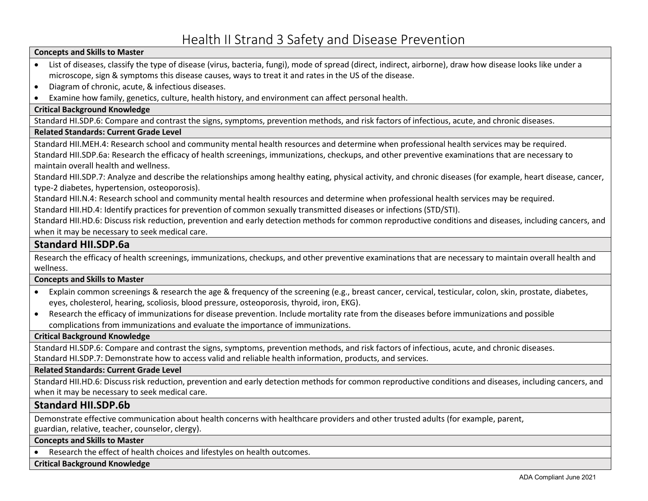## **Concepts and Skills to Master**

- List of diseases, classify the type of disease (virus, bacteria, fungi), mode of spread (direct, indirect, airborne), draw how disease looks like under a microscope, sign & symptoms this disease causes, ways to treat it and rates in the US of the disease.
- Diagram of chronic, acute, & infectious diseases.
- Examine how family, genetics, culture, health history, and environment can affect personal health.

## **Critical Background Knowledge**

Standard HI.SDP.6: Compare and contrast the signs, symptoms, prevention methods, and risk factors of infectious, acute, and chronic diseases.

## **Related Standards: Current Grade Level**

Standard HII.MEH.4: Research school and community mental health resources and determine when professional health services may be required. Standard HII.SDP.6a: Research the efficacy of health screenings, immunizations, checkups, and other preventive examinations that are necessary to

maintain overall health and wellness.

Standard HII.SDP.7: Analyze and describe the relationships among healthy eating, physical activity, and chronic diseases (for example, heart disease, cancer, type-2 diabetes, hypertension, osteoporosis).

Standard HII.N.4: Research school and community mental health resources and determine when professional health services may be required.

Standard HII.HD.4: Identify practices for prevention of common sexually transmitted diseases or infections (STD/STI).

Standard HII.HD.6: Discuss risk reduction, prevention and early detection methods for common reproductive conditions and diseases, including cancers, and when it may be necessary to seek medical care.

# **Standard HII.SDP.6a**

Research the efficacy of health screenings, immunizations, checkups, and other preventive examinations that are necessary to maintain overall health and wellness.

# **Concepts and Skills to Master**

- Explain common screenings & research the age & frequency of the screening (e.g., breast cancer, cervical, testicular, colon, skin, prostate, diabetes, eyes, cholesterol, hearing, scoliosis, blood pressure, osteoporosis, thyroid, iron, EKG).
- Research the efficacy of immunizations for disease prevention. Include mortality rate from the diseases before immunizations and possible complications from immunizations and evaluate the importance of immunizations.

# **Critical Background Knowledge**

Standard HI.SDP.6: Compare and contrast the signs, symptoms, prevention methods, and risk factors of infectious, acute, and chronic diseases. Standard HI.SDP.7: Demonstrate how to access valid and reliable health information, products, and services.

# **Related Standards: Current Grade Level**

Standard HII.HD.6: Discuss risk reduction, prevention and early detection methods for common reproductive conditions and diseases, including cancers, and when it may be necessary to seek medical care.

# **Standard HII.SDP.6b**

Demonstrate effective communication about health concerns with healthcare providers and other trusted adults (for example, parent, guardian, relative, teacher, counselor, clergy).

#### **Concepts and Skills to Master**

• Research the effect of health choices and lifestyles on health outcomes.

**Critical Background Knowledge**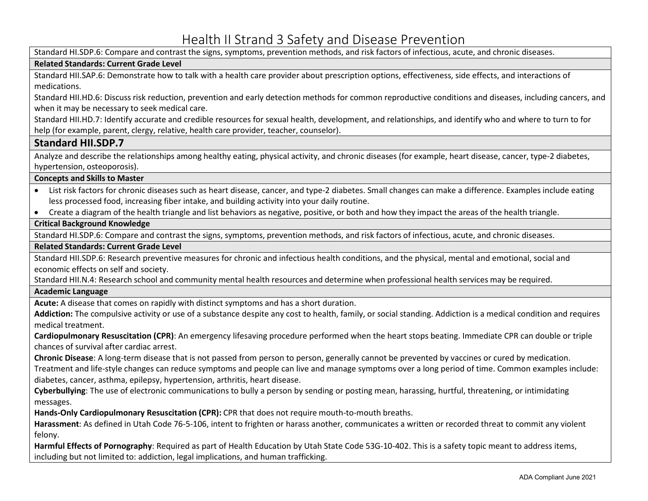Standard HI.SDP.6: Compare and contrast the signs, symptoms, prevention methods, and risk factors of infectious, acute, and chronic diseases.

## **Related Standards: Current Grade Level**

Standard HII.SAP.6: Demonstrate how to talk with a health care provider about prescription options, effectiveness, side effects, and interactions of medications.

Standard HII.HD.6: Discuss risk reduction, prevention and early detection methods for common reproductive conditions and diseases, including cancers, and when it may be necessary to seek medical care.

Standard HII.HD.7: Identify accurate and credible resources for sexual health, development, and relationships, and identify who and where to turn to for help (for example, parent, clergy, relative, health care provider, teacher, counselor).

# **Standard HII.SDP.7**

Analyze and describe the relationships among healthy eating, physical activity, and chronic diseases (for example, heart disease, cancer, type-2 diabetes, hypertension, osteoporosis).

#### **Concepts and Skills to Master**

- List risk factors for chronic diseases such as heart disease, cancer, and type-2 diabetes. Small changes can make a difference. Examples include eating less processed food, increasing fiber intake, and building activity into your daily routine.
- Create a diagram of the health triangle and list behaviors as negative, positive, or both and how they impact the areas of the health triangle.

# **Critical Background Knowledge**

Standard HI.SDP.6: Compare and contrast the signs, symptoms, prevention methods, and risk factors of infectious, acute, and chronic diseases.

#### **Related Standards: Current Grade Level**

Standard HII.SDP.6: Research preventive measures for chronic and infectious health conditions, and the physical, mental and emotional, social and economic effects on self and society.

Standard HII.N.4: Research school and community mental health resources and determine when professional health services may be required.

#### **Academic Language**

**Acute:** A disease that comes on rapidly with distinct symptoms and has a short duration.

**Addiction:** The compulsive activity or use of a substance despite any cost to health, family, or social standing. Addiction is a medical condition and requires medical treatment.

**Cardiopulmonary Resuscitation (CPR)**: An emergency lifesaving procedure performed when the heart stops beating. Immediate CPR can double or triple chances of survival after cardiac arrest.

**Chronic Disease**: A long-term disease that is not passed from person to person, generally cannot be prevented by vaccines or cured by medication.

Treatment and life-style changes can reduce symptoms and people can live and manage symptoms over a long period of time. Common examples include: diabetes, cancer, asthma, epilepsy, hypertension, arthritis, heart disease.

**Cyberbullying**: The use of electronic communications to bully a person by sending or posting mean, harassing, hurtful, threatening, or intimidating messages.

**Hands-Only Cardiopulmonary Resuscitation (CPR):** CPR that does not require mouth-to-mouth breaths.

**Harassment**: As defined in Utah Code 76-5-106, intent to frighten or harass another, communicates a written or recorded threat to commit any violent felony.

**Harmful Effects of Pornography**: Required as part of Health Education by Utah State Code 53G-10-402. This is a safety topic meant to address items, including but not limited to: addiction, legal implications, and human trafficking.